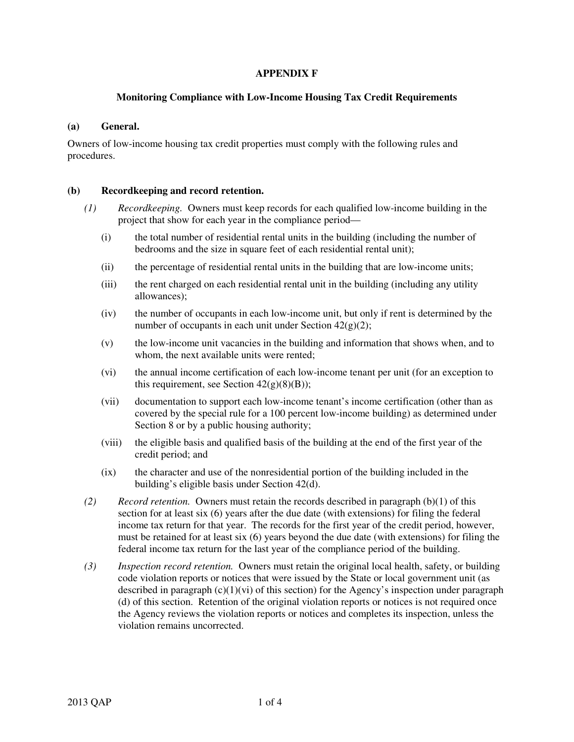# **APPENDIX F**

# **Monitoring Compliance with Low-Income Housing Tax Credit Requirements**

#### **(a) General.**

Owners of low-income housing tax credit properties must comply with the following rules and procedures.

# **(b) Recordkeeping and record retention.**

- *(1) Recordkeeping.* Owners must keep records for each qualified low-income building in the project that show for each year in the compliance period—
	- (i) the total number of residential rental units in the building (including the number of bedrooms and the size in square feet of each residential rental unit);
	- (ii) the percentage of residential rental units in the building that are low-income units;
	- (iii) the rent charged on each residential rental unit in the building (including any utility allowances);
	- (iv) the number of occupants in each low-income unit, but only if rent is determined by the number of occupants in each unit under Section 42(g)(2);
	- (v) the low-income unit vacancies in the building and information that shows when, and to whom, the next available units were rented;
	- (vi) the annual income certification of each low-income tenant per unit (for an exception to this requirement, see Section  $42(g)(8)(B)$ ;
	- (vii) documentation to support each low-income tenant's income certification (other than as covered by the special rule for a 100 percent low-income building) as determined under Section 8 or by a public housing authority;
	- (viii) the eligible basis and qualified basis of the building at the end of the first year of the credit period; and
	- (ix) the character and use of the nonresidential portion of the building included in the building's eligible basis under Section 42(d).
- *(2) Record retention.* Owners must retain the records described in paragraph (b)(1) of this section for at least six (6) years after the due date (with extensions) for filing the federal income tax return for that year. The records for the first year of the credit period, however, must be retained for at least six (6) years beyond the due date (with extensions) for filing the federal income tax return for the last year of the compliance period of the building.
- *(3) Inspection record retention.* Owners must retain the original local health, safety, or building code violation reports or notices that were issued by the State or local government unit (as described in paragraph  $(c)(1)(vi)$  of this section) for the Agency's inspection under paragraph (d) of this section. Retention of the original violation reports or notices is not required once the Agency reviews the violation reports or notices and completes its inspection, unless the violation remains uncorrected.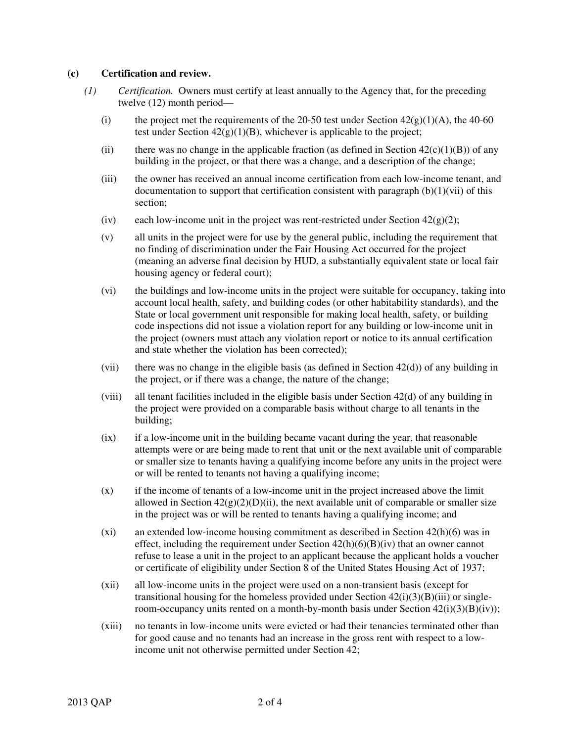#### **(c) Certification and review.**

- *(1) Certification.* Owners must certify at least annually to the Agency that, for the preceding twelve (12) month period—
	- (i) the project met the requirements of the 20-50 test under Section  $42(g)(1)(A)$ , the 40-60 test under Section  $42(g)(1)(B)$ , whichever is applicable to the project;
	- (ii) there was no change in the applicable fraction (as defined in Section  $42(c)(1)(B)$ ) of any building in the project, or that there was a change, and a description of the change;
	- (iii) the owner has received an annual income certification from each low-income tenant, and documentation to support that certification consistent with paragraph  $(b)(1)(vi)$  of this section;
	- (iv) each low-income unit in the project was rent-restricted under Section  $42(g)(2)$ ;
	- (v) all units in the project were for use by the general public, including the requirement that no finding of discrimination under the Fair Housing Act occurred for the project (meaning an adverse final decision by HUD, a substantially equivalent state or local fair housing agency or federal court);
	- (vi) the buildings and low-income units in the project were suitable for occupancy, taking into account local health, safety, and building codes (or other habitability standards), and the State or local government unit responsible for making local health, safety, or building code inspections did not issue a violation report for any building or low-income unit in the project (owners must attach any violation report or notice to its annual certification and state whether the violation has been corrected);
	- (vii) there was no change in the eligible basis (as defined in Section  $42(d)$ ) of any building in the project, or if there was a change, the nature of the change;
	- (viii) all tenant facilities included in the eligible basis under Section 42(d) of any building in the project were provided on a comparable basis without charge to all tenants in the building;
	- (ix) if a low-income unit in the building became vacant during the year, that reasonable attempts were or are being made to rent that unit or the next available unit of comparable or smaller size to tenants having a qualifying income before any units in the project were or will be rented to tenants not having a qualifying income;
	- (x) if the income of tenants of a low-income unit in the project increased above the limit allowed in Section  $42(g)(2)(D)(ii)$ , the next available unit of comparable or smaller size in the project was or will be rented to tenants having a qualifying income; and
	- (xi) an extended low-income housing commitment as described in Section 42(h)(6) was in effect, including the requirement under Section  $42(h)(6)(B)(iv)$  that an owner cannot refuse to lease a unit in the project to an applicant because the applicant holds a voucher or certificate of eligibility under Section 8 of the United States Housing Act of 1937;
	- (xii) all low-income units in the project were used on a non-transient basis (except for transitional housing for the homeless provided under Section  $42(i)(3)(B)(iii)$  or singleroom-occupancy units rented on a month-by-month basis under Section  $42(i)(3)(B)(iv)$ ;
	- (xiii) no tenants in low-income units were evicted or had their tenancies terminated other than for good cause and no tenants had an increase in the gross rent with respect to a lowincome unit not otherwise permitted under Section 42;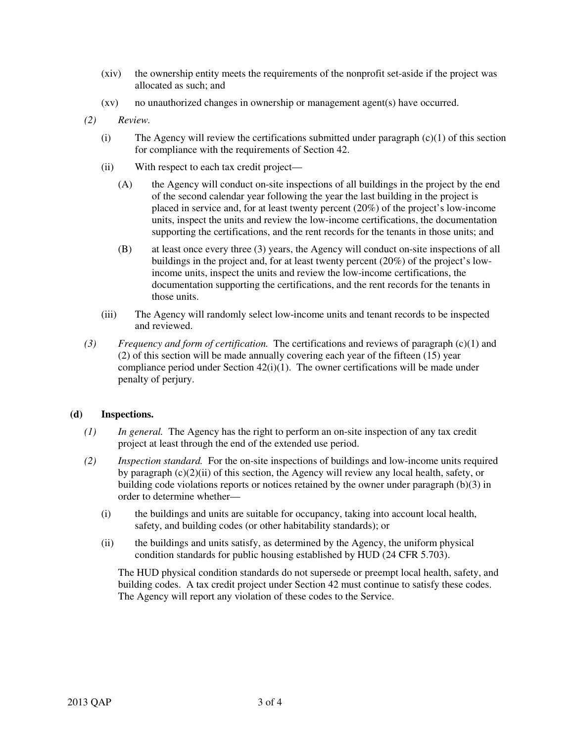- (xiv) the ownership entity meets the requirements of the nonprofit set-aside if the project was allocated as such; and
- (xv) no unauthorized changes in ownership or management agent(s) have occurred.
- *(2) Review.*
	- (i) The Agency will review the certifications submitted under paragraph  $(c)(1)$  of this section for compliance with the requirements of Section 42.
	- (ii) With respect to each tax credit project—
		- (A) the Agency will conduct on-site inspections of all buildings in the project by the end of the second calendar year following the year the last building in the project is placed in service and, for at least twenty percent (20%) of the project's low-income units, inspect the units and review the low-income certifications, the documentation supporting the certifications, and the rent records for the tenants in those units; and
		- (B) at least once every three (3) years, the Agency will conduct on-site inspections of all buildings in the project and, for at least twenty percent (20%) of the project's lowincome units, inspect the units and review the low-income certifications, the documentation supporting the certifications, and the rent records for the tenants in those units.
	- (iii) The Agency will randomly select low-income units and tenant records to be inspected and reviewed.
- *(3) Frequency and form of certification.* The certifications and reviews of paragraph (c)(1) and (2) of this section will be made annually covering each year of the fifteen (15) year compliance period under Section 42(i)(1). The owner certifications will be made under penalty of perjury.

# **(d) Inspections.**

- *(1) In general.* The Agency has the right to perform an on-site inspection of any tax credit project at least through the end of the extended use period.
- *(2) Inspection standard.* For the on-site inspections of buildings and low-income units required by paragraph (c)(2)(ii) of this section, the Agency will review any local health, safety, or building code violations reports or notices retained by the owner under paragraph (b)(3) in order to determine whether—
	- (i) the buildings and units are suitable for occupancy, taking into account local health, safety, and building codes (or other habitability standards); or
	- (ii) the buildings and units satisfy, as determined by the Agency, the uniform physical condition standards for public housing established by HUD (24 CFR 5.703).

The HUD physical condition standards do not supersede or preempt local health, safety, and building codes. A tax credit project under Section 42 must continue to satisfy these codes. The Agency will report any violation of these codes to the Service.